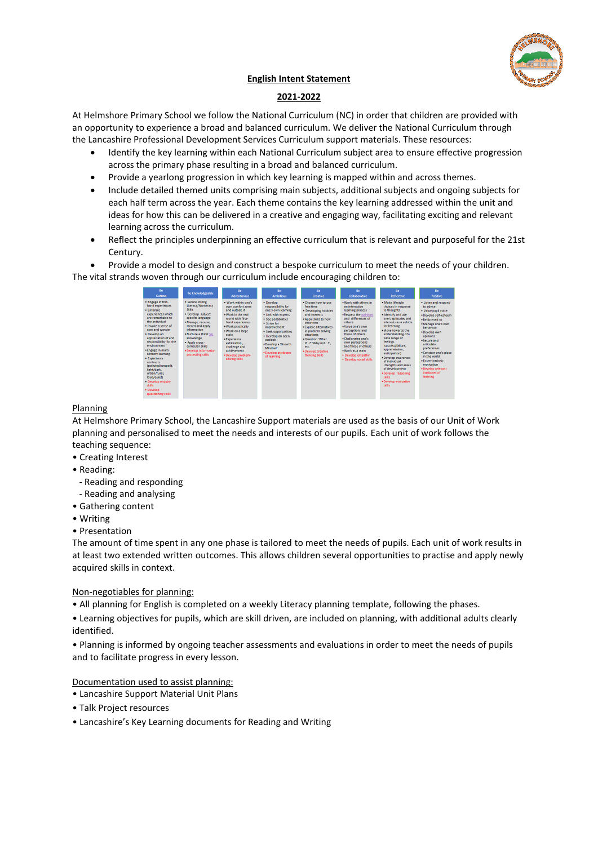

# **English Intent Statement**

# **2021-2022**

At Helmshore Primary School we follow the National Curriculum (NC) in order that children are provided with an opportunity to experience a broad and balanced curriculum. We deliver the National Curriculum through the Lancashire Professional Development Services Curriculum support materials. These resources:

- Identify the key learning within each National Curriculum subject area to ensure effective progression across the primary phase resulting in a broad and balanced curriculum.
- Provide a yearlong progression in which key learning is mapped within and across themes.
- Include detailed themed units comprising main subjects, additional subjects and ongoing subjects for each half term across the year. Each theme contains the key learning addressed within the unit and ideas for how this can be delivered in a creative and engaging way, facilitating exciting and relevant learning across the curriculum.
- Reflect the principles underpinning an effective curriculum that is relevant and purposeful for the 21st Century.

Provide a model to design and construct a bespoke curriculum to meet the needs of your children.

The vital strands woven through our curriculum include encouraging children to:

| <b>Be</b>                                                                                                                                                                                                                                                                                                                                                                                                                                                             | <b>Be Knowledgeable</b>                                                                                                                                                                                                                                                                       | Be                                                                                                                                                                                                                                                                                     | Be                                                                                                                                                                                                                                                                           | Be                                                                                                                                                                                                                                                                       | Be                                                                                                                                                                                                                                                                                                                      | Be                                                                                                                                                                                                                                                                                                                                                                                                                                        | Be                                                                                                                                                                                                                                                                                                                                                  |
|-----------------------------------------------------------------------------------------------------------------------------------------------------------------------------------------------------------------------------------------------------------------------------------------------------------------------------------------------------------------------------------------------------------------------------------------------------------------------|-----------------------------------------------------------------------------------------------------------------------------------------------------------------------------------------------------------------------------------------------------------------------------------------------|----------------------------------------------------------------------------------------------------------------------------------------------------------------------------------------------------------------------------------------------------------------------------------------|------------------------------------------------------------------------------------------------------------------------------------------------------------------------------------------------------------------------------------------------------------------------------|--------------------------------------------------------------------------------------------------------------------------------------------------------------------------------------------------------------------------------------------------------------------------|-------------------------------------------------------------------------------------------------------------------------------------------------------------------------------------------------------------------------------------------------------------------------------------------------------------------------|-------------------------------------------------------------------------------------------------------------------------------------------------------------------------------------------------------------------------------------------------------------------------------------------------------------------------------------------------------------------------------------------------------------------------------------------|-----------------------------------------------------------------------------------------------------------------------------------------------------------------------------------------------------------------------------------------------------------------------------------------------------------------------------------------------------|
| <b>Curious</b>                                                                                                                                                                                                                                                                                                                                                                                                                                                        |                                                                                                                                                                                                                                                                                               | <b>Adventurous</b>                                                                                                                                                                                                                                                                     | <b>Ambitious</b>                                                                                                                                                                                                                                                             | <b>Creative</b>                                                                                                                                                                                                                                                          | <b>Collaborative</b>                                                                                                                                                                                                                                                                                                    | <b>Reflective</b>                                                                                                                                                                                                                                                                                                                                                                                                                         | <b>Positive</b>                                                                                                                                                                                                                                                                                                                                     |
| · Engage in first-<br>hand experiences<br>· Embrace<br>experiences which<br>are remarkable to<br>the individual<br>. Invoke a sense of<br>awe and wonder<br>· Develop an<br>appreciation of and<br>responsibility for the<br>environment<br>· Engage in multi -<br>sensory learning<br>· Experience<br><b>contrasts</b><br>(polluted/unspoilt.<br>light/dark.<br>urban/rural.<br>loud/quiet)<br>· Develop enquiry<br><b>kkills</b><br>· Develop<br>questioning skills | · Secure strong<br>Literacy/Numeracy<br><b>Skills</b><br>· Develop subject<br>specific language<br>· Manage, receive.<br>record and apply<br><b>information</b><br>. Nurture a thirst for<br>knowledge<br>· Apply cross -<br>curricular skills.<br>. Develop Information<br>processing skills | . Work within one's<br>own comfort zone<br>and outside it.<br>. Work in the real<br>world with first-<br>hand experiences<br>. Work practically<br>. Work on a large<br>scale<br>· Experience<br>exhiliration.<br>challenge and<br>achievement<br>· Develop problem-<br>solving skills | · Develop<br>responsibility for<br>one's own learning<br>. Link with experts<br>· See possibilities<br>· Strive for<br><i>improvement</i><br>· Seek opportunities<br>· Develop an open<br>outlook<br>. Develop a 'Growth'<br>Mindset"<br>. Develop attributes<br>of learning | . Choose how to use<br>free time.<br>· Developing hobbies<br>and interests<br>. Apply skills to new<br>situations<br>· Explore alternatives<br>in problem solving<br>situations<br>. Question 'What<br>if?' 'Why not?'.<br>etc.<br>· Develop creative<br>thinking skills | . Work with others in<br>an interactive<br>learning process<br>. Respect the opinions<br>and differences of<br>others<br>. Value one's own.<br>perceptions and<br>those of others<br>. Challenging one's<br>own perceptions<br>and those of others.<br>. Work as a team<br>. Develop empathy<br>· Develop social skills | · Make lifestyle<br>choices in response<br>to thoughts<br>. Identify and use<br>one's aptitudes and<br>interests as a vehicle.<br>for learning<br>. Move towards the<br>understanding of a<br>wide range of<br>feelings<br>(success/failure.<br>apprehension.<br>anticipation)<br>. Develop awareness<br>of individual<br>strengths and areas<br>of development<br>. Develop reasoning<br><b>kkills</b><br>. Develop evaluative<br>skills | . Listen and respond<br>to advice<br>· Value pupil voice<br>· Develop self-esteem<br>. Be listened to<br>. Manage one's own<br>hehaviour<br>. Develop own<br>opinions<br>. Secure and<br>articulate<br>preferences<br>. Consider one's place<br>in the world<br>· Foster intrinsic<br>motivation<br>. Develop relevant<br>attributes of<br>learning |

## Planning

At Helmshore Primary School, the Lancashire Support materials are used as the basis of our Unit of Work planning and personalised to meet the needs and interests of our pupils. Each unit of work follows the teaching sequence:

- Creating Interest
- Reading:
	- Reading and responding
- Reading and analysing
- Gathering content
- Writing
- Presentation

The amount of time spent in any one phase is tailored to meet the needs of pupils. Each unit of work results in at least two extended written outcomes. This allows children several opportunities to practise and apply newly acquired skills in context.

## Non-negotiables for planning:

• All planning for English is completed on a weekly Literacy planning template, following the phases.

• Learning objectives for pupils, which are skill driven, are included on planning, with additional adults clearly identified.

• Planning is informed by ongoing teacher assessments and evaluations in order to meet the needs of pupils and to facilitate progress in every lesson.

# Documentation used to assist planning:

- Lancashire Support Material Unit Plans
- Talk Project resources
- Lancashire's Key Learning documents for Reading and Writing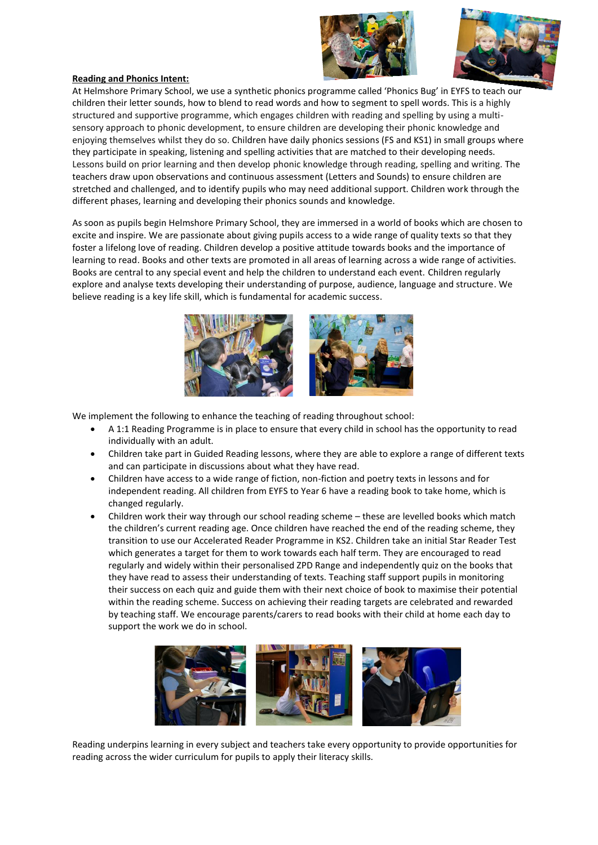



#### **Reading and Phonics Intent:**

At Helmshore Primary School, we use a synthetic phonics programme called 'Phonics Bug' in EYFS to teach our children their letter sounds, how to blend to read words and how to segment to spell words. This is a highly structured and supportive programme, which engages children with reading and spelling by using a multisensory approach to phonic development, to ensure children are developing their phonic knowledge and enjoying themselves whilst they do so. Children have daily phonics sessions (FS and KS1) in small groups where they participate in speaking, listening and spelling activities that are matched to their developing needs. Lessons build on prior learning and then develop phonic knowledge through reading, spelling and writing. The teachers draw upon observations and continuous assessment (Letters and Sounds) to ensure children are stretched and challenged, and to identify pupils who may need additional support. Children work through the different phases, learning and developing their phonics sounds and knowledge.

As soon as pupils begin Helmshore Primary School, they are immersed in a world of books which are chosen to excite and inspire. We are passionate about giving pupils access to a wide range of quality texts so that they foster a lifelong love of reading. Children develop a positive attitude towards books and the importance of learning to read. Books and other texts are promoted in all areas of learning across a wide range of activities. Books are central to any special event and help the children to understand each event. Children regularly explore and analyse texts developing their understanding of purpose, audience, language and structure. We believe reading is a key life skill, which is fundamental for academic success.



We implement the following to enhance the teaching of reading throughout school:

- A 1:1 Reading Programme is in place to ensure that every child in school has the opportunity to read individually with an adult.
- Children take part in Guided Reading lessons, where they are able to explore a range of different texts and can participate in discussions about what they have read.
- Children have access to a wide range of fiction, non-fiction and poetry texts in lessons and for independent reading. All children from EYFS to Year 6 have a reading book to take home, which is changed regularly.
- Children work their way through our school reading scheme these are levelled books which match the children's current reading age. Once children have reached the end of the reading scheme, they transition to use our Accelerated Reader Programme in KS2. Children take an initial Star Reader Test which generates a target for them to work towards each half term. They are encouraged to read regularly and widely within their personalised ZPD Range and independently quiz on the books that they have read to assess their understanding of texts. Teaching staff support pupils in monitoring their success on each quiz and guide them with their next choice of book to maximise their potential within the reading scheme. Success on achieving their reading targets are celebrated and rewarded by teaching staff. We encourage parents/carers to read books with their child at home each day to support the work we do in school.



Reading underpins learning in every subject and teachers take every opportunity to provide opportunities for reading across the wider curriculum for pupils to apply their literacy skills.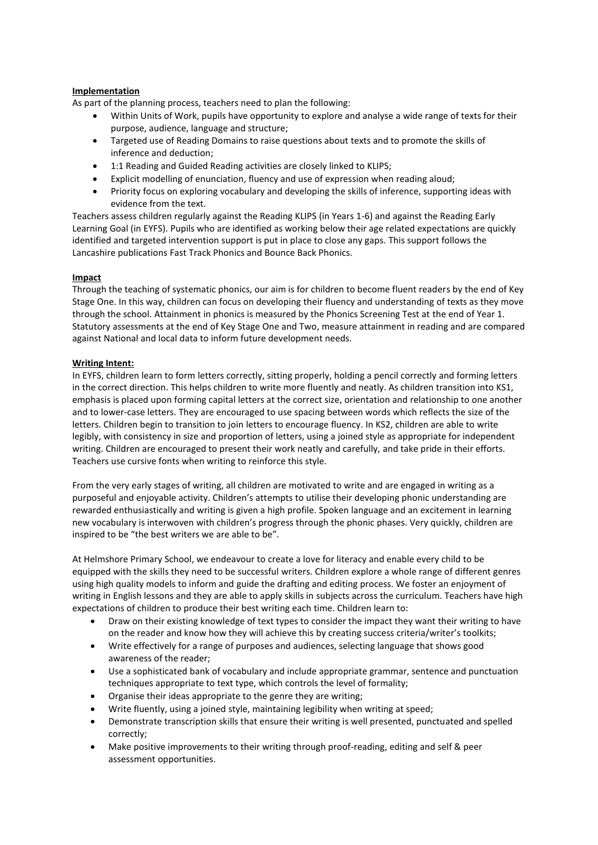# **Implementation**

As part of the planning process, teachers need to plan the following:

- Within Units of Work, pupils have opportunity to explore and analyse a wide range of texts for their purpose, audience, language and structure;
- Targeted use of Reading Domains to raise questions about texts and to promote the skills of inference and deduction;
- 1:1 Reading and Guided Reading activities are closely linked to KLIPS;
- Explicit modelling of enunciation, fluency and use of expression when reading aloud;
- Priority focus on exploring vocabulary and developing the skills of inference, supporting ideas with evidence from the text.

Teachers assess children regularly against the Reading KLIPS (in Years 1-6) and against the Reading Early Learning Goal (in EYFS). Pupils who are identified as working below their age related expectations are quickly identified and targeted intervention support is put in place to close any gaps. This support follows the Lancashire publications Fast Track Phonics and Bounce Back Phonics.

## **Impact**

Through the teaching of systematic phonics, our aim is for children to become fluent readers by the end of Key Stage One. In this way, children can focus on developing their fluency and understanding of texts as they move through the school. Attainment in phonics is measured by the Phonics Screening Test at the end of Year 1. Statutory assessments at the end of Key Stage One and Two, measure attainment in reading and are compared against National and local data to inform future development needs.

#### **Writing Intent:**

In EYFS, children learn to form letters correctly, sitting properly, holding a pencil correctly and forming letters in the correct direction. This helps children to write more fluently and neatly. As children transition into KS1, emphasis is placed upon forming capital letters at the correct size, orientation and relationship to one another and to lower-case letters. They are encouraged to use spacing between words which reflects the size of the letters. Children begin to transition to join letters to encourage fluency. In KS2, children are able to write legibly, with consistency in size and proportion of letters, using a joined style as appropriate for independent writing. Children are encouraged to present their work neatly and carefully, and take pride in their efforts. Teachers use cursive fonts when writing to reinforce this style.

From the very early stages of writing, all children are motivated to write and are engaged in writing as a purposeful and enjoyable activity. Children's attempts to utilise their developing phonic understanding are rewarded enthusiastically and writing is given a high profile. Spoken language and an excitement in learning new vocabulary is interwoven with children's progress through the phonic phases. Very quickly, children are inspired to be "the best writers we are able to be".

At Helmshore Primary School, we endeavour to create a love for literacy and enable every child to be equipped with the skills they need to be successful writers. Children explore a whole range of different genres using high quality models to inform and guide the drafting and editing process. We foster an enjoyment of writing in English lessons and they are able to apply skills in subjects across the curriculum. Teachers have high expectations of children to produce their best writing each time. Children learn to:

- Draw on their existing knowledge of text types to consider the impact they want their writing to have on the reader and know how they will achieve this by creating success criteria/writer's toolkits;
- Write effectively for a range of purposes and audiences, selecting language that shows good awareness of the reader;
- Use a sophisticated bank of vocabulary and include appropriate grammar, sentence and punctuation techniques appropriate to text type, which controls the level of formality;
- Organise their ideas appropriate to the genre they are writing;
- Write fluently, using a joined style, maintaining legibility when writing at speed;
- Demonstrate transcription skills that ensure their writing is well presented, punctuated and spelled correctly;
- Make positive improvements to their writing through proof-reading, editing and self & peer assessment opportunities.